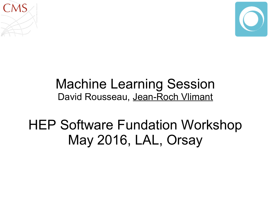



### Machine Learning Session David Rousseau, Jean-Roch Vlimant

HEP Software Fundation Workshop May 2016, LAL, Orsay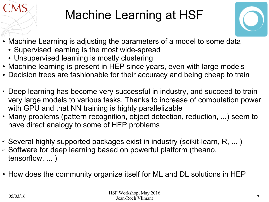# Machine Learning at HSF



- Machine Learning is adjusting the parameters of a model to some data
	- Supervised learning is the most wide-spread
	- Unsupervised learning is mostly clustering
- Machine learning is present in HEP since years, even with large models
- Decision trees are fashionable for their accuracy and being cheap to train
- ➢ Deep learning has become very successful in industry, and succeed to train very large models to various tasks. Thanks to increase of computation power with GPU and that NN training is highly parallelizable
- ➢ Many problems (pattern recognition, object detection, reduction, ...) seem to have direct analogy to some of HEP problems
- ✔ Several highly supported packages exist in industry (scikit-learn, R, ... )
- ✔ Software for deep learning based on powerful platform (theano, tensorflow, ... )
- How does the community organize itself for ML and DL solutions in HEP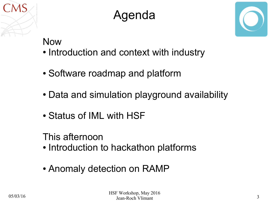

## Agenda



#### Now

- Introduction and context with industry
- Software roadmap and platform
- Data and simulation playground availability
- Status of IML with HSF

This afternoon

- Introduction to hackathon platforms
- Anomaly detection on RAMP